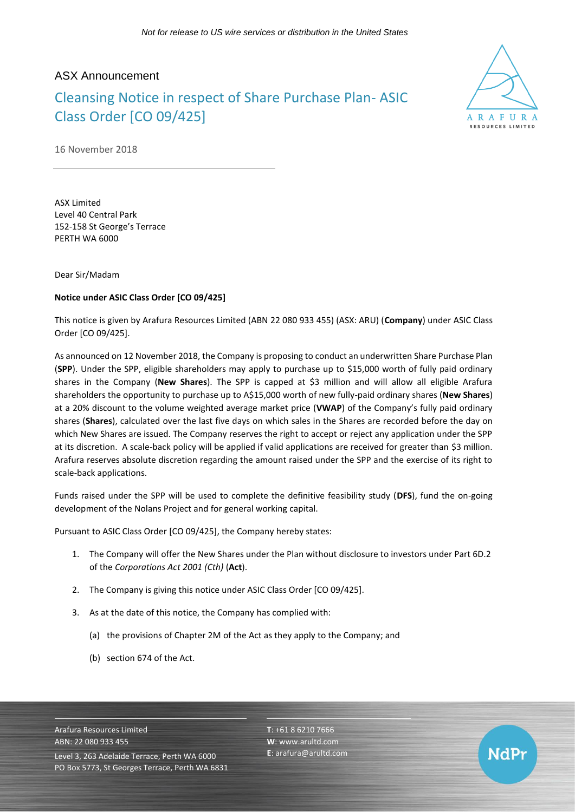## ASX Announcement

## Cleansing Notice in respect of Share Purchase Plan- ASIC Class Order [CO 09/425]



NdPr

16 November 2018

ASX Limited Level 40 Central Park 152-158 St George's Terrace PERTH WA 6000

Dear Sir/Madam

## **Notice under ASIC Class Order [CO 09/425]**

This notice is given by Arafura Resources Limited (ABN 22 080 933 455) (ASX: ARU) (**Company**) under ASIC Class Order [CO 09/425].

As announced on 12 November 2018, the Company is proposing to conduct an underwritten Share Purchase Plan (**SPP**). Under the SPP, eligible shareholders may apply to purchase up to \$15,000 worth of fully paid ordinary shares in the Company (**New Shares**). The SPP is capped at \$3 million and will allow all eligible Arafura shareholders the opportunity to purchase up to A\$15,000 worth of new fully-paid ordinary shares (**New Shares**) at a 20% discount to the volume weighted average market price (**VWAP**) of the Company's fully paid ordinary shares (**Shares**), calculated over the last five days on which sales in the Shares are recorded before the day on which New Shares are issued. The Company reserves the right to accept or reject any application under the SPP at its discretion. A scale-back policy will be applied if valid applications are received for greater than \$3 million. Arafura reserves absolute discretion regarding the amount raised under the SPP and the exercise of its right to scale-back applications.

Funds raised under the SPP will be used to complete the definitive feasibility study (**DFS**), fund the on-going development of the Nolans Project and for general working capital.

Pursuant to ASIC Class Order [CO 09/425], the Company hereby states:

- 1. The Company will offer the New Shares under the Plan without disclosure to investors under Part 6D.2 of the *Corporations Act 2001 (Cth)* (**Act**).
- 2. The Company is giving this notice under ASIC Class Order [CO 09/425].
- 3. As at the date of this notice, the Company has complied with:
	- (a) the provisions of Chapter 2M of the Act as they apply to the Company; and
	- (b) section 674 of the Act.

Arafura Resources Limited ABN: 22 080 933 455 Level 3, 263 Adelaide Terrace, Perth WA 6000 PO Box 5773, St Georges Terrace, Perth WA 6831 **T**: +61 8 6210 7666 **W**: [www.arultd.com](http://www.arultd.com/) **E**[: arafura@arultd.com](mailto:arafura@arultd.com)